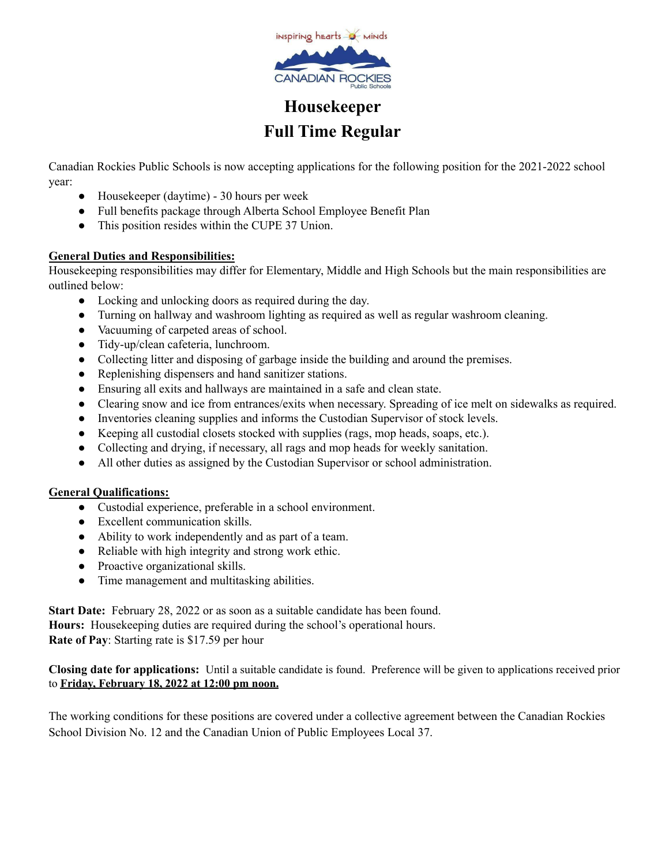

## **Housekeeper Full Time Regular**

Canadian Rockies Public Schools is now accepting applications for the following position for the 2021-2022 school year:

- Housekeeper (daytime) 30 hours per week
- Full benefits package through Alberta School Employee Benefit Plan
- This position resides within the CUPE 37 Union.

## **General Duties and Responsibilities:**

Housekeeping responsibilities may differ for Elementary, Middle and High Schools but the main responsibilities are outlined below:

- Locking and unlocking doors as required during the day.
- Turning on hallway and washroom lighting as required as well as regular washroom cleaning.
- Vacuuming of carpeted areas of school.
- Tidy-up/clean cafeteria, lunchroom.
- Collecting litter and disposing of garbage inside the building and around the premises.
- Replenishing dispensers and hand sanitizer stations.
- Ensuring all exits and hallways are maintained in a safe and clean state.
- Clearing snow and ice from entrances/exits when necessary. Spreading of ice melt on sidewalks as required.
- Inventories cleaning supplies and informs the Custodian Supervisor of stock levels.
- Keeping all custodial closets stocked with supplies (rags, mop heads, soaps, etc.).
- Collecting and drying, if necessary, all rags and mop heads for weekly sanitation.
- All other duties as assigned by the Custodian Supervisor or school administration.

## **General Qualifications:**

- Custodial experience, preferable in a school environment.
- Excellent communication skills.
- Ability to work independently and as part of a team.
- Reliable with high integrity and strong work ethic.
- Proactive organizational skills.
- Time management and multitasking abilities.

**Start Date:** February 28, 2022 or as soon as a suitable candidate has been found. **Hours:** Housekeeping duties are required during the school's operational hours. **Rate of Pay**: Starting rate is \$17.59 per hour

**Closing date for applications:** Until a suitable candidate is found. Preference will be given to applications received prior to **Friday, February 18, 2022 at 12:00 pm noon.**

The working conditions for these positions are covered under a collective agreement between the Canadian Rockies School Division No. 12 and the Canadian Union of Public Employees Local 37.